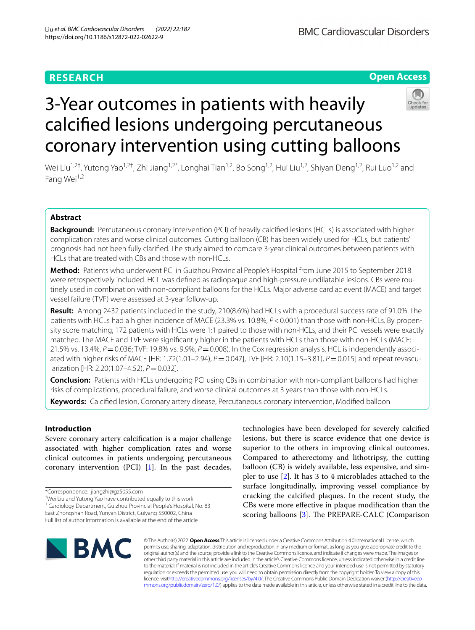# **RESEARCH**

# **Open Access**



# 3-Year outcomes in patients with heavily calcifed lesions undergoing percutaneous coronary intervention using cutting balloons

Wei Liu<sup>1,2†</sup>, Yutong Yao<sup>1,2†</sup>, Zhi Jiang<sup>1,2\*</sup>, Longhai Tian<sup>1,2</sup>, Bo Song<sup>1,2</sup>, Hui Liu<sup>1,2</sup>, Shiyan Deng<sup>1,2</sup>, Rui Luo<sup>1,2</sup> and Fang Wei<sup>1,2</sup>

# **Abstract**

**Background:** Percutaneous coronary intervention (PCI) of heavily calcifed lesions (HCLs) is associated with higher complication rates and worse clinical outcomes. Cutting balloon (CB) has been widely used for HCLs, but patients' prognosis had not been fully clarifed. The study aimed to compare 3-year clinical outcomes between patients with HCLs that are treated with CBs and those with non-HCLs.

**Method:** Patients who underwent PCI in Guizhou Provincial People's Hospital from June 2015 to September 2018 were retrospectively included. HCL was defned as radiopaque and high-pressure undilatable lesions. CBs were routinely used in combination with non-compliant balloons for the HCLs. Major adverse cardiac event (MACE) and target vessel failure (TVF) were assessed at 3-year follow-up.

**Result:** Among 2432 patients included in the study, 210(8.6%) had HCLs with a procedural success rate of 91.0%. The patients with HCLs had a higher incidence of MACE (23.3% vs. 10.8%, *P*<0.001) than those with non-HCLs. By propensity score matching, 172 patients with HCLs were 1:1 paired to those with non-HCLs, and their PCI vessels were exactly matched. The MACE and TVF were signifcantly higher in the patients with HCLs than those with non-HCLs (MACE: 21.5% vs. 13.4%, *P* = 0.036; TVF: 19.8% vs. 9.9%, *P* = 0.008). In the Cox regression analysis, HCL is independently associated with higher risks of MACE [HR: 1.72(1.01–2.94), *P*=0.047], TVF [HR: 2.10(1.15–3.81), *P*=0.015] and repeat revascularization [HR: 2.20(1.07–4.52), *P*=0.032].

**Conclusion:** Patients with HCLs undergoing PCI using CBs in combination with non-compliant balloons had higher risks of complications, procedural failure, and worse clinical outcomes at 3 years than those with non-HCLs.

**Keywords:** Calcifed lesion, Coronary artery disease, Percutaneous coronary intervention, Modifed balloon

# **Introduction**

Severe coronary artery calcifcation is a major challenge associated with higher complication rates and worse clinical outcomes in patients undergoing percutaneous coronary intervention  $(PCI)$  [\[1](#page-7-0)]. In the past decades,

\*Correspondence: jiangzhi@gz5055.com

† Wei Liu and Yutong Yao have contributed equally to this work

<sup>1</sup> Cardiology Department, Guizhou Provincial People's Hospital, No. 83 East Zhongshan Road, Yunyan District, Guiyang 550002, China

Full list of author information is available at the end of the article

technologies have been developed for severely calcifed lesions, but there is scarce evidence that one device is superior to the others in improving clinical outcomes. Compared to atherectomy and lithotripsy, the cutting balloon (CB) is widely available, less expensive, and simpler to use [\[2](#page-7-1)]. It has 3 to 4 microblades attached to the surface longitudinally, improving vessel compliance by cracking the calcifed plaques. In the recent study, the CBs were more efective in plaque modifcation than the scoring balloons [[3\]](#page-7-2). The PREPARE-CALC (Comparison



© The Author(s) 2022. **Open Access** This article is licensed under a Creative Commons Attribution 4.0 International License, which permits use, sharing, adaptation, distribution and reproduction in any medium or format, as long as you give appropriate credit to the original author(s) and the source, provide a link to the Creative Commons licence, and indicate if changes were made. The images or other third party material in this article are included in the article's Creative Commons licence, unless indicated otherwise in a credit line to the material. If material is not included in the article's Creative Commons licence and your intended use is not permitted by statutory regulation or exceeds the permitted use, you will need to obtain permission directly from the copyright holder. To view a copy of this licence, visi[thttp://creativecommons.org/licenses/by/4.0/](http://creativecommons.org/licenses/by/4.0/). The Creative Commons Public Domain Dedication waiver [\(http://creativeco](http://creativecommons.org/publicdomain/zero/1.0/) [mmons.org/publicdomain/zero/1.0/](http://creativecommons.org/publicdomain/zero/1.0/)) applies to the data made available in this article, unless otherwise stated in a credit line to the data.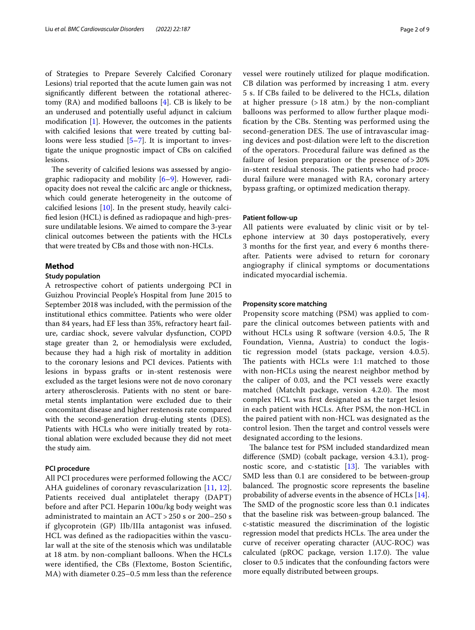of Strategies to Prepare Severely Calcifed Coronary Lesions) trial reported that the acute lumen gain was not signifcantly diferent between the rotational atherectomy (RA) and modifed balloons [\[4](#page-7-3)]. CB is likely to be an underused and potentially useful adjunct in calcium modifcation [\[1](#page-7-0)]. However, the outcomes in the patients with calcifed lesions that were treated by cutting balloons were less studied  $[5-7]$  $[5-7]$ . It is important to investigate the unique prognostic impact of CBs on calcifed lesions.

The severity of calcified lesions was assessed by angiographic radiopacity and mobility [[6–](#page-7-6)[9](#page-7-7)]. However, radiopacity does not reveal the calcifc arc angle or thickness, which could generate heterogeneity in the outcome of calcifed lesions [\[10](#page-7-8)]. In the present study, heavily calcifed lesion (HCL) is defned as radiopaque and high-pressure undilatable lesions. We aimed to compare the 3-year clinical outcomes between the patients with the HCLs that were treated by CBs and those with non-HCLs.

### **Method**

# **Study population**

A retrospective cohort of patients undergoing PCI in Guizhou Provincial People's Hospital from June 2015 to September 2018 was included, with the permission of the institutional ethics committee. Patients who were older than 84 years, had EF less than 35%, refractory heart failure, cardiac shock, severe valvular dysfunction, COPD stage greater than 2, or hemodialysis were excluded, because they had a high risk of mortality in addition to the coronary lesions and PCI devices. Patients with lesions in bypass grafts or in-stent restenosis were excluded as the target lesions were not de novo coronary artery atherosclerosis. Patients with no stent or baremetal stents implantation were excluded due to their concomitant disease and higher restenosis rate compared with the second-generation drug-eluting stents (DES). Patients with HCLs who were initially treated by rotational ablation were excluded because they did not meet the study aim.

# **PCI procedure**

All PCI procedures were performed following the ACC/ AHA guidelines of coronary revascularization [\[11](#page-7-9), [12\]](#page-7-10). Patients received dual antiplatelet therapy (DAPT) before and after PCI. Heparin 100u/kg body weight was administrated to maintain an ACT> 250 s or 200–250 s if glycoprotein (GP) IIb/IIIa antagonist was infused. HCL was defned as the radiopacities within the vascular wall at the site of the stenosis which was undilatable at 18 atm. by non-compliant balloons. When the HCLs were identifed, the CBs (Flextome, Boston Scientifc, MA) with diameter 0.25–0.5 mm less than the reference vessel were routinely utilized for plaque modifcation. CB dilation was performed by increasing 1 atm. every 5 s. If CBs failed to be delivered to the HCLs, dilation at higher pressure  $(>18$  atm.) by the non-compliant balloons was performed to allow further plaque modifcation by the CBs. Stenting was performed using the second-generation DES. The use of intravascular imaging devices and post-dilation were left to the discretion of the operators. Procedural failure was defned as the failure of lesion preparation or the presence of > 20% in-stent residual stenosis. The patients who had procedural failure were managed with RA, coronary artery bypass grafting, or optimized medication therapy.

# **Patient follow‑up**

All patients were evaluated by clinic visit or by telephone interview at 30 days postoperatively, every 3 months for the frst year, and every 6 months thereafter. Patients were advised to return for coronary angiography if clinical symptoms or documentations indicated myocardial ischemia.

# **Propensity score matching**

Propensity score matching (PSM) was applied to compare the clinical outcomes between patients with and without HCLs using R software (version 4.0.5, The R Foundation, Vienna, Austria) to conduct the logistic regression model (stats package, version 4.0.5). The patients with HCLs were 1:1 matched to those with non-HCLs using the nearest neighbor method by the caliper of 0.03, and the PCI vessels were exactly matched (MatchIt package, version 4.2.0). The most complex HCL was frst designated as the target lesion in each patient with HCLs. After PSM, the non-HCL in the paired patient with non-HCL was designated as the control lesion. Then the target and control vessels were designated according to the lesions.

The balance test for PSM included standardized mean diference (SMD) (cobalt package, version 4.3.1), prognostic score, and c-statistic  $[13]$  $[13]$ . The variables with SMD less than 0.1 are considered to be between-group balanced. The prognostic score represents the baseline probability of adverse events in the absence of HCLs [\[14](#page-7-12)]. The SMD of the prognostic score less than 0.1 indicates that the baseline risk was between-group balanced. The c-statistic measured the discrimination of the logistic regression model that predicts HCLs. The area under the curve of receiver operating character (AUC-ROC) was calculated ( $pROC$  package, version 1.17.0). The value closer to 0.5 indicates that the confounding factors were more equally distributed between groups.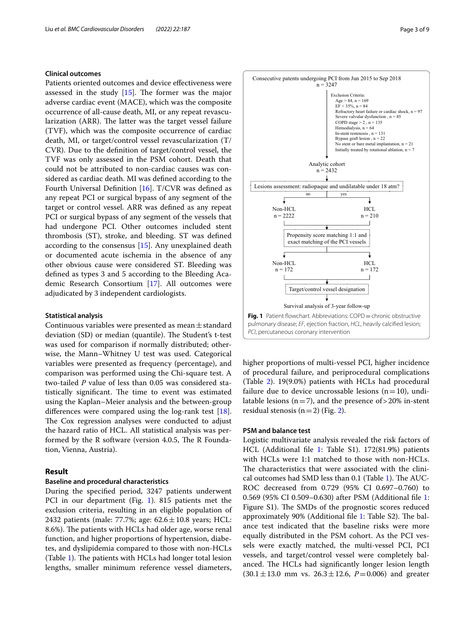# **Clinical outcomes**

Patients oriented outcomes and device efectiveness were assessed in the study  $[15]$  $[15]$ . The former was the major adverse cardiac event (MACE), which was the composite occurrence of all-cause death, MI, or any repeat revascularization (ARR). The latter was the target vessel failure (TVF), which was the composite occurrence of cardiac death, MI, or target/control vessel revascularization (T/ CVR). Due to the defnition of target/control vessel, the TVF was only assessed in the PSM cohort. Death that could not be attributed to non-cardiac causes was considered as cardiac death. MI was defned according to the Fourth Universal Defnition [[16\]](#page-7-14). T/CVR was defned as any repeat PCI or surgical bypass of any segment of the target or control vessel. ARR was defned as any repeat PCI or surgical bypass of any segment of the vessels that had undergone PCI. Other outcomes included stent thrombosis (ST), stroke, and bleeding. ST was defned according to the consensus [[15\]](#page-7-13). Any unexplained death or documented acute ischemia in the absence of any other obvious cause were considered ST. Bleeding was defned as types 3 and 5 according to the Bleeding Academic Research Consortium [[17\]](#page-7-15). All outcomes were adjudicated by 3 independent cardiologists.

## **Statistical analysis**

Continuous variables were presented as mean $\pm$ standard deviation (SD) or median (quantile). The Student's t-test was used for comparison if normally distributed; otherwise, the Mann–Whitney U test was used. Categorical variables were presented as frequency (percentage), and comparison was performed using the Chi-square test. A two-tailed *P* value of less than 0.05 was considered statistically significant. The time to event was estimated using the Kaplan–Meier analysis and the between-group diferences were compared using the log-rank test [\[18](#page-7-16)]. The Cox regression analyses were conducted to adjust the hazard ratio of HCL. All statistical analysis was performed by the R software (version 4.0.5, The R Foundation, Vienna, Austria).

# **Result**

# **Baseline and procedural characteristics**

During the specifed period, 3247 patients underwent PCI in our department (Fig. [1\)](#page-2-0). 815 patients met the exclusion criteria, resulting in an eligible population of 2432 patients (male: 77.7%; age:  $62.6 \pm 10.8$  years; HCL: 8.6%). The patients with HCLs had older age, worse renal function, and higher proportions of hypertension, diabetes, and dyslipidemia compared to those with non-HCLs (Table [1\)](#page-3-0). The patients with HCLs had longer total lesion lengths, smaller minimum reference vessel diameters,



<span id="page-2-0"></span>higher proportions of multi-vessel PCI, higher incidence of procedural failure, and periprocedural complications (Table [2](#page-4-0)). 19(9.0%) patients with HCLs had procedural failure due to device uncrossable lesions  $(n=10)$ , undilatable lesions ( $n=7$ ), and the presence of > 20% in-stent residual stenosis ( $n=2$  $n=2$ ) (Fig. 2).

# **PSM and balance test**

Logistic multivariate analysis revealed the risk factors of HCL (Additional file [1:](#page-7-17) Table S1). 172(81.9%) patients with HCLs were 1:1 matched to those with non-HCLs. The characteristics that were associated with the clinical outcomes had SMD less than  $0.1$  (Table [1\)](#page-3-0). The AUC-ROC decreased from 0.729 (95% CI 0.697–0.760) to 0.569 (95% CI 0.509–0.630) after PSM (Additional fle [1](#page-7-17): Figure S1). The SMDs of the prognostic scores reduced approximately 90% (Additional file [1:](#page-7-17) Table S2). The balance test indicated that the baseline risks were more equally distributed in the PSM cohort. As the PCI vessels were exactly matched, the multi-vessel PCI, PCI vessels, and target/control vessel were completely balanced. The HCLs had significantly longer lesion length  $(30.1 \pm 13.0 \text{ mm vs. } 26.3 \pm 12.6, P=0.006)$  and greater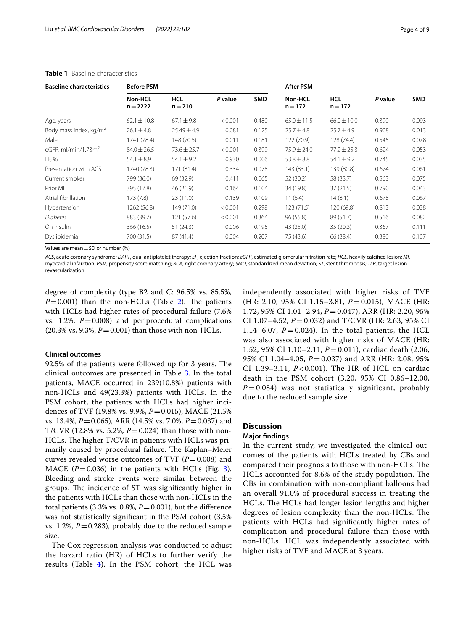| <b>Baseline characteristics</b>    | <b>Before PSM</b>     |                         |         |            | <b>After PSM</b>            |                         |         |            |
|------------------------------------|-----------------------|-------------------------|---------|------------|-----------------------------|-------------------------|---------|------------|
|                                    | Non-HCL<br>$n = 2222$ | <b>HCL</b><br>$n = 210$ | P value | <b>SMD</b> | <b>Non-HCL</b><br>$n = 172$ | <b>HCL</b><br>$n = 172$ | P value | <b>SMD</b> |
| Age, years                         | $62.1 \pm 10.8$       | $67.1 \pm 9.8$          | < 0.001 | 0.480      | $65.0 \pm 11.5$             | $66.0 \pm 10.0$         | 0.390   | 0.093      |
| Body mass index, kg/m <sup>2</sup> | $26.1 \pm 4.8$        | $25.49 \pm 4.9$         | 0.081   | 0.125      | $25.7 \pm 4.8$              | $25.7 \pm 4.9$          | 0.908   | 0.013      |
| Male                               | 1741 (78.4)           | 148 (70.5)              | 0.011   | 0.181      | 122 (70.9)                  | 128 (74.4)              | 0.545   | 0.078      |
| eGFR, ml/min/1.73 $m2$             | $84.0 \pm 26.5$       | $73.6 \pm 25.7$         | < 0.001 | 0.399      | $75.9 \pm 24.0$             | $77.2 \pm 25.3$         | 0.624   | 0.053      |
| EF, %                              | $54.1 \pm 8.9$        | $54.1 \pm 9.2$          | 0.930   | 0.006      | $53.8 \pm 8.8$              | $54.1 \pm 9.2$          | 0.745   | 0.035      |
| Presentation with ACS              | 1740 (78.3)           | 171 (81.4)              | 0.334   | 0.078      | 143 (83.1)                  | 139 (80.8)              | 0.674   | 0.061      |
| Current smoker                     | 799 (36.0)            | 69 (32.9)               | 0.411   | 0.065      | 52 (30.2)                   | 58 (33.7)               | 0.563   | 0.075      |
| Prior MI                           | 395 (17.8)            | 46 (21.9)               | 0.164   | 0.104      | 34 (19.8)                   | 37(21.5)                | 0.790   | 0.043      |
| Atrial fibrillation                | 173 (7.8)             | 23(11.0)                | 0.139   | 0.109      | 11(6.4)                     | 14(8.1)                 | 0.678   | 0.067      |
| Hypertension                       | 1262 (56.8)           | 149 (71.0)              | < 0.001 | 0.298      | 123(71.5)                   | 120 (69.8)              | 0.813   | 0.038      |
| <b>Diabetes</b>                    | 883 (39.7)            | 121(57.6)               | < 0.001 | 0.364      | 96 (55.8)                   | 89 (51.7)               | 0.516   | 0.082      |
| On insulin                         | 366 (16.5)            | 51(24.3)                | 0.006   | 0.195      | 43 (25.0)                   | 35(20.3)                | 0.367   | 0.111      |
| Dyslipidemia                       | 700 (31.5)            | 87(41.4)                | 0.004   | 0.207      | 75 (43.6)                   | 66 (38.4)               | 0.380   | 0.107      |

# <span id="page-3-0"></span>**Table 1** Baseline characteristics

Values are mean  $\pm$  SD or number (%)

*ACS*, acute coronary syndrome; *DAPT*, dual antiplatelet therapy; *EF*, ejection fraction; *eGFR*, estimated glomerular fltration rate; *HCL*, heavily calcifed lesion; *MI*, myocardial infarction; *PSM*, propensity score matching; *RCA*, right coronary artery; *SMD*, standardized mean deviation; *ST*, stent thrombosis; *TLR*, target lesion revascularization

degree of complexity (type B2 and C: 96.5% vs. 85.5%,  $P=0.001$ ) than the non-HCLs (Table [2](#page-4-0)). The patients with HCLs had higher rates of procedural failure (7.6% vs. 1.2%,  $P = 0.008$ ) and periprocedural complications  $(20.3\% \text{ vs. } 9.3\%, P = 0.001)$  than those with non-HCLs.

#### **Clinical outcomes**

92.5% of the patients were followed up for 3 years. The clinical outcomes are presented in Table [3](#page-5-1). In the total patients, MACE occurred in 239(10.8%) patients with non-HCLs and 49(23.3%) patients with HCLs. In the PSM cohort, the patients with HCLs had higher incidences of TVF (19.8% vs. 9.9%, *P*=0.015), MACE (21.5% vs. 13.4%, *P*=0.065), ARR (14.5% vs. 7.0%, *P*=0.037) and T/CVR (12.8% vs. 5.2%,  $P = 0.024$ ) than those with non-HCLs. The higher  $T/CVR$  in patients with HCLs was primarily caused by procedural failure. The Kaplan–Meier curves revealed worse outcomes of TVF  $(P=0.008)$  and MACE  $(P=0.036)$  $(P=0.036)$  $(P=0.036)$  in the patients with HCLs (Fig. 3). Bleeding and stroke events were similar between the groups. The incidence of ST was significantly higher in the patients with HCLs than those with non-HCLs in the total patients  $(3.3\% \text{ vs. } 0.8\%, P = 0.001)$ , but the difference was not statistically signifcant in the PSM cohort (3.5% vs. 1.2%,  $P=0.283$ ), probably due to the reduced sample size.

The Cox regression analysis was conducted to adjust the hazard ratio (HR) of HCLs to further verify the results (Table [4\)](#page-6-1). In the PSM cohort, the HCL was independently associated with higher risks of TVF (HR: 2.10, 95% CI 1.15–3.81, *P* = 0.015), MACE (HR: 1.72, 95% CI 1.01–2.94, *P* = 0.047), ARR (HR: 2.20, 95% CI 1.07–4.52,  $P = 0.032$ ) and T/CVR (HR: 2.63, 95% CI 1.14–6.07,  $P = 0.024$ ). In the total patients, the HCL was also associated with higher risks of MACE (HR: 1.52, 95% CI 1.10–2.11, *P* = 0.011), cardiac death (2.06, 95% CI 1.04–4.05, *P* = 0.037) and ARR (HR: 2.08, 95% CI 1.39–3.11, *P* < 0.001). The HR of HCL on cardiac death in the PSM cohort (3.20, 95% CI 0.86–12.00,  $P = 0.084$ ) was not statistically significant, probably due to the reduced sample size.

## **Discussion**

## **Major fndings**

In the current study, we investigated the clinical outcomes of the patients with HCLs treated by CBs and compared their prognosis to those with non-HCLs. The HCLs accounted for 8.6% of the study population. The CBs in combination with non-compliant balloons had an overall 91.0% of procedural success in treating the HCLs. The HCLs had longer lesion lengths and higher degrees of lesion complexity than the non-HCLs. The patients with HCLs had signifcantly higher rates of complication and procedural failure than those with non-HCLs. HCL was independently associated with higher risks of TVF and MACE at 3 years.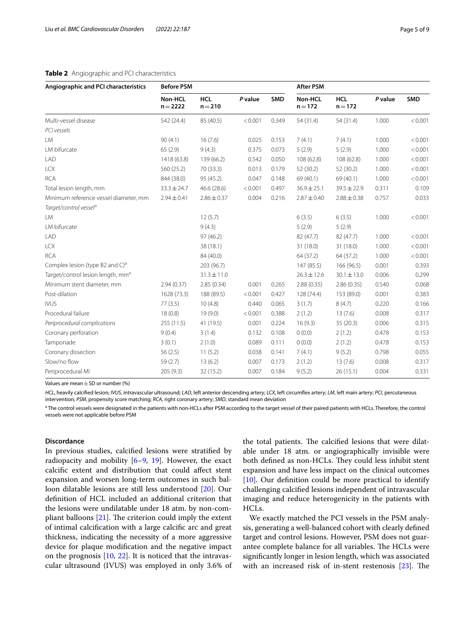# <span id="page-4-0"></span>**Table 2** Angiographic and PCI characteristics

| Angiographic and PCI characteristics           | <b>Before PSM</b>     |                         |         |            | <b>After PSM</b>     |                         |         |            |
|------------------------------------------------|-----------------------|-------------------------|---------|------------|----------------------|-------------------------|---------|------------|
|                                                | Non-HCL<br>$n = 2222$ | <b>HCL</b><br>$n = 210$ | P value | <b>SMD</b> | Non-HCL<br>$n = 172$ | <b>HCL</b><br>$n = 172$ | P value | <b>SMD</b> |
| Multi-vessel disease                           | 542 (24.4)            | 85 (40.5)               | < 0.001 | 0.349      | 54 (31.4)            | 54 (31.4)               | 1.000   | < 0.001    |
| PCI vessels                                    |                       |                         |         |            |                      |                         |         |            |
| LM.                                            | 90(4.1)               | 16(7.6)                 | 0.025   | 0.153      | 7(4.1)               | 7(4.1)                  | 1.000   | < 0.001    |
| LM bifurcate                                   | 65(2.9)               | 9(4.3)                  | 0.375   | 0.073      | 5(2.9)               | 5(2.9)                  | 1.000   | < 0.001    |
| <b>LAD</b>                                     | 1418 (63.8)           | 139 (66.2)              | 0.542   | 0.050      | 108 (62.8)           | 108 (62.8)              | 1.000   | < 0.001    |
| <b>LCX</b>                                     | 560 (25.2)            | 70 (33.3)               | 0.013   | 0.179      | 52 (30.2)            | 52 (30.2)               | 1.000   | < 0.001    |
| <b>RCA</b>                                     | 844 (38.0)            | 95 (45.2)               | 0.047   | 0.148      | 69 (40.1)            | 69 (40.1)               | 1.000   | < 0.001    |
| Total lesion length, mm                        | $33.3 \pm 24.7$       | 46.6(28.6)              | < 0.001 | 0.497      | $36.9 \pm 25.1$      | $39.5 \pm 22.9$         | 0.311   | 0.109      |
| Minimum reference vessel diameter, mm          | $2.94 \pm 0.41$       | $2.86 \pm 0.37$         | 0.004   | 0.216      | $2.87 \pm 0.40$      | $2.88 \pm 0.38$         | 0.757   | 0.033      |
| Target/control vessel <sup>a</sup>             |                       |                         |         |            |                      |                         |         |            |
| LM                                             |                       | 12(5.7)                 |         |            | 6(3.5)               | 6(3.5)                  | 1.000   | < 0.001    |
| LM bifurcate                                   |                       | 9(4.3)                  |         |            | 5(2.9)               | 5(2.9)                  |         |            |
| <b>LAD</b>                                     |                       | 97 (46.2)               |         |            | 82 (47.7)            | 82 (47.7)               | 1.000   | < 0.001    |
| <b>LCX</b>                                     |                       | 38 (18.1)               |         |            | 31 (18.0)            | 31 (18.0)               | 1.000   | < 0.001    |
| <b>RCA</b>                                     |                       | 84 (40.0)               |         |            | 64 (37.2)            | 64 (37.2)               | 1.000   | < 0.001    |
| Complex lesion (type B2 and $C$ ) <sup>a</sup> |                       | 203 (96.7)              |         |            | 147(85.5)            | 166 (96.5)              | 0.001   | 0.393      |
| Target/control lesion length, mm <sup>a</sup>  |                       | $31.3 \pm 11.0$         |         |            | $26.3 \pm 12.6$      | $30.1 \pm 13.0$         | 0.006   | 0.299      |
| Minimum stent diameter, mm                     | 2.94(0.37)            | 2.85(0.34)              | 0.001   | 0.265      | 2.88(0.35)           | 2.86(0.35)              | 0.540   | 0.068      |
| Post-dilation                                  | 1628 (73.3)           | 188 (89.5)              | < 0.001 | 0.427      | 128 (74.4)           | 153 (89.0)              | 0.001   | 0.383      |
| <b>IVUS</b>                                    | 77(3.5)               | 10(4.8)                 | 0.440   | 0.065      | 3(1.7)               | 8(4.7)                  | 0.220   | 0.166      |
| Procedural failure                             | 18(0.8)               | 19(9.0)                 | < 0.001 | 0.388      | 2(1.2)               | 13(7.6)                 | 0.008   | 0.317      |
| Periprocedural complications                   | 255(11.5)             | 41 (19.5)               | 0.001   | 0.224      | 16(9.3)              | 35(20.3)                | 0.006   | 0.315      |
| Coronary perforation                           | 9(0.4)                | 3(1.4)                  | 0.132   | 0.108      | 0(0.0)               | 2(1.2)                  | 0.478   | 0.153      |
| Tamponade                                      | 3(0.1)                | 2(1.0)                  | 0.089   | 0.111      | 0(0.0)               | 2(1.2)                  | 0.478   | 0.153      |
| Coronary dissection                            | 56(2.5)               | 11(5.2)                 | 0.038   | 0.141      | 7(4.1)               | 9(5.2)                  | 0.798   | 0.055      |
| Slow/no flow                                   | 59(2.7)               | 13(6.2)                 | 0.007   | 0.173      | 2(1.2)               | 13(7.6)                 | 0.008   | 0.317      |
| Periprocedural MI                              | 205(9.3)              | 32 (15.2)               | 0.007   | 0.184      | 9(5.2)               | 26 (15.1)               | 0.004   | 0.331      |

Values are mean  $\pm$  SD or number (%)

*HCL*, heavily calcifed lesion; *IVUS*, intravascular ultrasound; *LAD*, left anterior descending artery; *LCX*, left circumfex artery; *LM*, left main artery; *PCI*, percutaneous intervention; *PSM*, propensity score matching; *RCA*, right coronary artery; *SMD*, standard mean deviation

<sup>a</sup> The control vessels were designated in the patients with non-HCLs after PSM according to the target vessel of their paired patients with HCLs. Therefore, the control vessels were not applicable before PSM

# **Discordance**

In previous studies, calcifed lesions were stratifed by radiopacity and mobility [[6](#page-7-6)[–9](#page-7-7), [19\]](#page-7-18). However, the exact calcifc extent and distribution that could afect stent expansion and worsen long-term outcomes in such balloon dilatable lesions are still less understood [[20\]](#page-7-19). Our defnition of HCL included an additional criterion that the lesions were undilatable under 18 atm. by non-compliant balloons  $[21]$  $[21]$ . The criterion could imply the extent of intimal calcifcation with a large calcifc arc and great thickness, indicating the necessity of a more aggressive device for plaque modifcation and the negative impact on the prognosis  $[10, 22]$  $[10, 22]$  $[10, 22]$  $[10, 22]$ . It is noticed that the intravascular ultrasound (IVUS) was employed in only 3.6% of the total patients. The calcified lesions that were dilatable under 18 atm. or angiographically invisible were both defined as non-HCLs. They could less inhibit stent expansion and have less impact on the clinical outcomes [[10\]](#page-7-8). Our defnition could be more practical to identify challenging calcifed lesions independent of intravascular imaging and reduce heterogenicity in the patients with HCLs.

We exactly matched the PCI vessels in the PSM analysis, generating a well-balanced cohort with clearly defned target and control lesions. However, PSM does not guarantee complete balance for all variables. The HCLs were signifcantly longer in lesion length, which was associated with an increased risk of in-stent restenosis  $[23]$  $[23]$ . The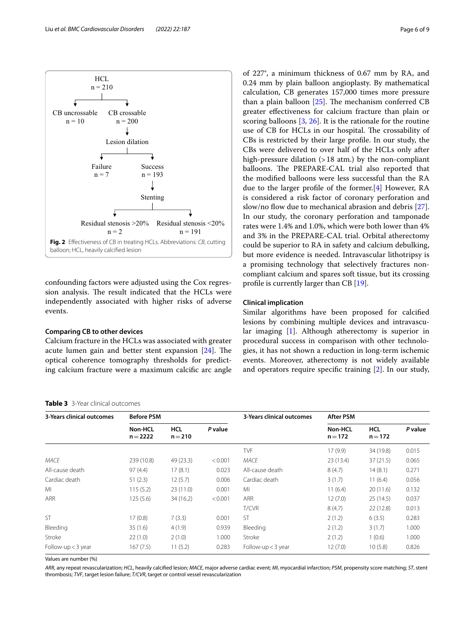

<span id="page-5-0"></span>confounding factors were adjusted using the Cox regression analysis. The result indicated that the HCLs were independently associated with higher risks of adverse events.

# **Comparing CB to other devices**

Calcium fracture in the HCLs was associated with greater acute lumen gain and better stent expansion  $[24]$  $[24]$ . The optical coherence tomography thresholds for predicting calcium fracture were a maximum calcifc arc angle

# <span id="page-5-1"></span>**Table 3** 3-Year clinical outcomes

of 227°, a minimum thickness of 0.67 mm by RA, and 0.24 mm by plain balloon angioplasty. By mathematical calculation, CB generates 157,000 times more pressure than a plain balloon  $[25]$ . The mechanism conferred CB greater efectiveness for calcium fracture than plain or scoring balloons [[3,](#page-7-2) [26](#page-8-3)]. It is the rationale for the routine use of CB for HCLs in our hospital. The crossability of CBs is restricted by their large profle. In our study, the CBs were delivered to over half of the HCLs only after high-pressure dilation  $(>18$  atm.) by the non-compliant balloons. The PREPARE-CAL trial also reported that the modifed balloons were less successful than the RA due to the larger profle of the former.[\[4](#page-7-3)] However, RA is considered a risk factor of coronary perforation and slow/no flow due to mechanical abrasion and debris  $[27]$  $[27]$ . In our study, the coronary perforation and tamponade rates were 1.4% and 1.0%, which were both lower than 4% and 3% in the PREPARE-CAL trial. Orbital atherectomy could be superior to RA in safety and calcium debulking, but more evidence is needed. Intravascular lithotripsy is a promising technology that selectively fractures noncompliant calcium and spares soft tissue, but its crossing profle is currently larger than CB [\[19\]](#page-7-18).

# **Clinical implication**

Similar algorithms have been proposed for calcifed lesions by combining multiple devices and intravascular imaging [\[1](#page-7-0)]. Although atherectomy is superior in procedural success in comparison with other technologies, it has not shown a reduction in long-term ischemic events. Moreover, atherectomy is not widely available and operators require specifc training [\[2](#page-7-1)]. In our study,

| 3-Years clinical outcomes | <b>Before PSM</b>            |                         |         | 3-Years clinical outcomes | <b>After PSM</b>            |                         |         |
|---------------------------|------------------------------|-------------------------|---------|---------------------------|-----------------------------|-------------------------|---------|
|                           | <b>Non-HCL</b><br>$n = 2222$ | <b>HCL</b><br>$n = 210$ | P value |                           | <b>Non-HCL</b><br>$n = 172$ | <b>HCL</b><br>$n = 172$ | P value |
|                           |                              |                         |         | TVF                       | 17(9.9)                     | 34 (19.8)               | 0.015   |
| MACE                      | 239 (10.8)                   | 49 (23.3)               | < 0.001 | <b>MACE</b>               | 23(13.4)                    | 37(21.5)                | 0.065   |
| All-cause death           | 97(4.4)                      | 17(8.1)                 | 0.023   | All-cause death           | 8(4.7)                      | 14(8.1)                 | 0.271   |
| Cardiac death             | 51(2.3)                      | 12(5.7)                 | 0.006   | Cardiac death             | 3(1.7)                      | 11(6.4)                 | 0.056   |
| MI                        | 115(5.2)                     | 23(11.0)                | 0.001   | MI                        | 11(6.4)                     | 20(11.6)                | 0.132   |
| <b>ARR</b>                | 125(5.6)                     | 34 (16.2)               | < 0.001 | <b>ARR</b>                | 12(7.0)                     | 25(14.5)                | 0.037   |
|                           |                              |                         |         | T/CVR                     | 8(4.7)                      | 22(12.8)                | 0.013   |
| ST                        | 17(0.8)                      | 7(3.3)                  | 0.001   | <b>ST</b>                 | 2(1.2)                      | 6(3.5)                  | 0.283   |
| Bleeding                  | 35(1.6)                      | 4(1.9)                  | 0.939   | Bleeding                  | 2(1.2)                      | 3(1.7)                  | 1.000   |
| Stroke                    | 22(1.0)                      | 2(1.0)                  | 1.000   | Stroke                    | 2(1.2)                      | 1(0.6)                  | 1.000   |
| Follow-up $<$ 3 year      | 167(7.5)                     | 11(5.2)                 | 0.283   | Follow-up < 3 year        | 12(7.0)                     | 10(5.8)                 | 0.826   |

Values are number (%)

*ARR*, any repeat revascularization; *HCL*, heavily calcifed lesion; *MACE*, major adverse cardiac event; *MI*, myocardial infarction; *PSM*, propensity score matching; *ST*, stent thrombosis; *TVF*, target lesion failure; *T/CVR*, target or control vessel revascularization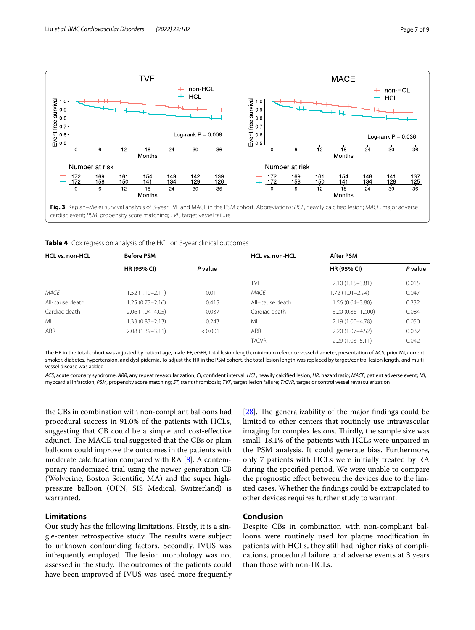

<span id="page-6-1"></span><span id="page-6-0"></span>

|  |  |  |  | <b>Table 4</b> Cox regression analysis of the HCL on 3-year clinical outcomes |
|--|--|--|--|-------------------------------------------------------------------------------|
|--|--|--|--|-------------------------------------------------------------------------------|

| <b>HCL vs. non-HCL</b> | <b>Before PSM</b>   |         | <b>HCL vs. non-HCL</b> | <b>After PSM</b>     |         |  |
|------------------------|---------------------|---------|------------------------|----------------------|---------|--|
|                        | HR (95% CI)         | P value |                        | <b>HR (95% CI)</b>   | P value |  |
|                        |                     |         | <b>TVF</b>             | $2.10(1.15 - 3.81)$  | 0.015   |  |
| MACF                   | 1.52 (1.10–2.11)    | 0.011   | <b>MACF</b>            | $1.72(1.01 - 2.94)$  | 0.047   |  |
| All-cause death        | 1.25 (0.73–2.16)    | 0.415   | All-cause death        | 1.56 (0.64-3.80)     | 0.332   |  |
| Cardiac death          | $2.06(1.04 - 4.05)$ | 0.037   | Cardiac death          | $3.20(0.86 - 12.00)$ | 0.084   |  |
| MI                     | 1.33 (0.83–2.13)    | 0.243   | MI                     | $2.19(1.00 - 4.78)$  | 0.050   |  |
| ARR                    | $2.08(1.39 - 3.11)$ | < 0.001 | ARR                    | $2.20(1.07 - 4.52)$  | 0.032   |  |
|                        |                     |         | T/CVR                  | $2.29(1.03 - 5.11)$  | 0.042   |  |

The HR in the total cohort was adjusted by patient age, male, EF, eGFR, total lesion length, minimum reference vessel diameter, presentation of ACS, prior MI, current smoker, diabetes, hypertension, and dyslipidemia. To adjust the HR in the PSM cohort, the total lesion length was replaced by target/control lesion length, and multivessel disease was added

*ACS*, acute coronary syndrome; *ARR*, any repeat revascularization; *CI*, confdent interval; *HCL*, heavily calcifed lesion; *HR*, hazard ratio; *MACE*, patient adverse event; *MI*, myocardial infarction; *PSM*, propensity score matching; *ST*, stent thrombosis; *TVF*, target lesion failure; *T/CVR*, target or control vessel revascularization

the CBs in combination with non-compliant balloons had procedural success in 91.0% of the patients with HCLs, suggesting that CB could be a simple and cost-efective adjunct. The MACE-trial suggested that the CBs or plain balloons could improve the outcomes in the patients with moderate calcifcation compared with RA [[8\]](#page-7-22). A contemporary randomized trial using the newer generation CB (Wolverine, Boston Scientifc, MA) and the super highpressure balloon (OPN, SIS Medical, Switzerland) is warranted.

# **Limitations**

Our study has the following limitations. Firstly, it is a single-center retrospective study. The results were subject to unknown confounding factors. Secondly, IVUS was infrequently employed. The lesion morphology was not assessed in the study. The outcomes of the patients could have been improved if IVUS was used more frequently

 $[28]$  $[28]$ . The generalizability of the major findings could be limited to other centers that routinely use intravascular imaging for complex lesions. Thirdly, the sample size was small. 18.1% of the patients with HCLs were unpaired in the PSM analysis. It could generate bias. Furthermore, only 7 patients with HCLs were initially treated by RA during the specifed period. We were unable to compare the prognostic efect between the devices due to the limited cases. Whether the fndings could be extrapolated to other devices requires further study to warrant.

# **Conclusion**

Despite CBs in combination with non-compliant balloons were routinely used for plaque modifcation in patients with HCLs, they still had higher risks of complications, procedural failure, and adverse events at 3 years than those with non-HCLs.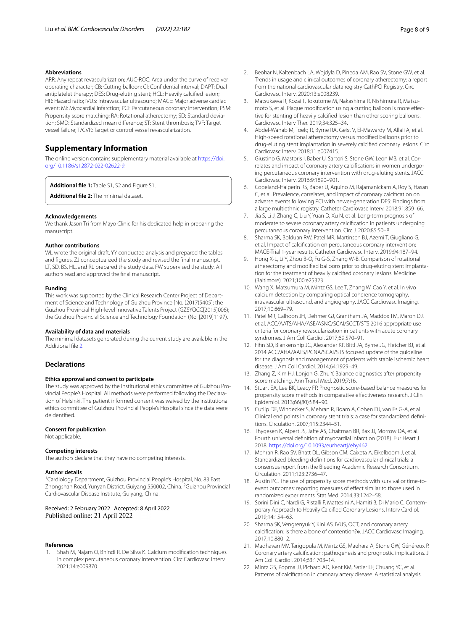#### **Abbreviations**

ARR: Any repeat revascularization; AUC-ROC: Area under the curve of receiver operating character; CB: Cutting balloon; CI: Confdential interval; DAPT: Dual antiplatelet therapy; DES: Drug-eluting stent; HCL: Heavily calcifed lesion; HR: Hazard ratio; IVUS: Intravascular ultrasound; MACE: Major adverse cardiac event; MI: Myocardial infarction; PCI: Percutaneous coronary intervention; PSM: Propensity score matching; RA: Rotational atherectomy; SD: Standard deviation; SMD: Standardized mean diference; ST: Stent thrombosis; TVF: Target vessel failure; T/CVR: Target or control vessel revascularization.

# **Supplementary Information**

The online version contains supplementary material available at [https://doi.](https://doi.org/10.1186/s12872-022-02622-9) [org/10.1186/s12872-022-02622-9](https://doi.org/10.1186/s12872-022-02622-9).

<span id="page-7-17"></span>**Additional fle 1:** Table S1, S2 and Figure S1.

**Additional fle 2:** The minimal dataset.

#### **Acknowledgements**

We thank Jason Tri from Mayo Clinic for his dedicated help in preparing the manuscript.

#### **Author contributions**

WL wrote the original draft. YY conducted analysis and prepared the tables and fgures. ZJ conceptualized the study and revised the fnal manuscript. LT, SD, BS, HL, and RL prepared the study data. FW supervised the study. All authors read and approved the fnal manuscript.

#### **Funding**

This work was supported by the Clinical Research Center Project of Department of Science and Technology of Guizhou Province [No. (2017)5405]; the Guizhou Provincial High-level Innovative Talents Project (GZSYQCC[2015]006); the Guizhou Provincial Science and Technology Foundation (No. [2019]1197).

#### **Availability of data and materials**

The minimal datasets generated during the current study are available in the Additional file [2](#page-7-17).

# **Declarations**

#### **Ethics approval and consent to participate**

The study was approved by the institutional ethics committee of Guizhou Provincial People's Hospital. All methods were performed following the Declaration of Helsinki. The patient informed consent was waived by the institutional ethics committee of Guizhou Provincial People's Hospital since the data were deidentifed.

#### **Consent for publication**

Not applicable.

#### **Competing interests**

The authors declare that they have no competing interests.

#### **Author details**

<sup>1</sup> Cardiology Department, Guizhou Provincial People's Hospital, No. 83 East Zhongshan Road, Yunyan District, Guiyang 550002, China. <sup>2</sup>Guizhou Provincial Cardiovascular Disease Institute, Guiyang, China.

### Received: 2 February 2022 Accepted: 8 April 2022 Published online: 21 April 2022

#### **References**

<span id="page-7-0"></span>Shah M, Najam O, Bhindi R, De Silva K. Calcium modification techniques in complex percutaneous coronary intervention. Circ Cardiovasc Interv. 2021;14:e009870.

- <span id="page-7-1"></span>2. Beohar N, Kaltenbach LA, Wojdyla D, Pineda AM, Rao SV, Stone GW, et al. Trends in usage and clinical outcomes of coronary atherectomy: a report from the national cardiovascular data registry CathPCI Registry. Circ Cardiovasc Interv. 2020;13:e008239.
- <span id="page-7-2"></span>3. Matsukawa R, Kozai T, Tokutome M, Nakashima R, Nishimura R, Matsumoto S, et al. Plaque modifcation using a cutting balloon is more efective for stenting of heavily calcifed lesion than other scoring balloons. Cardiovasc Interv Ther. 2019;34:325–34.
- <span id="page-7-3"></span>4. Abdel-Wahab M, Toelg R, Byrne RA, Geist V, El-Mawardy M, Allali A, et al. High-speed rotational atherectomy versus modifed balloons prior to drug-eluting stent implantation in severely calcifed coronary lesions. Circ Cardiovasc Interv. 2018;11:e007415.
- <span id="page-7-4"></span>5. Giustino G, Mastoris I, Baber U, Sartori S, Stone GW, Leon MB, et al. Correlates and impact of coronary artery calcifcations in women undergoing percutaneous coronary intervention with drug-eluting stents. JACC Cardiovasc Interv. 2016;9:1890–901.
- <span id="page-7-6"></span>6. Copeland-Halperin RS, Baber U, Aquino M, Rajamanickam A, Roy S, Hasan C, et al. Prevalence, correlates, and impact of coronary calcifcation on adverse events following PCI with newer-generation DES: Findings from a large multiethnic registry. Catheter Cardiovasc Interv. 2018;91:859–66.
- <span id="page-7-5"></span>7. Jia S, Li J, Zhang C, Liu Y, Yuan D, Xu N, et al. Long-term prognosis of moderate to severe coronary artery calcifcation in patients undergoing percutaneous coronary intervention. Circ J. 2020;85:50–8.
- <span id="page-7-22"></span>8. Sharma SK, Bolduan RW, Patel MR, Martinsen BJ, Azemi T, Giugliano G, et al. Impact of calcifcation on percutaneous coronary intervention: MACE-Trial 1-year results. Catheter Cardiovasc Interv. 2019;94:187–94.
- <span id="page-7-7"></span>9. Hong X-L, Li Y, Zhou B-Q, Fu G-S, Zhang W-B. Comparison of rotational atherectomy and modifed balloons prior to drug-eluting stent implantation for the treatment of heavily calcifed coronary lesions. Medicine (Baltimore). 2021;100:e25323.
- <span id="page-7-8"></span>10. Wang X, Matsumura M, Mintz GS, Lee T, Zhang W, Cao Y, et al. In vivo calcium detection by comparing optical coherence tomography, intravascular ultrasound, and angiography. JACC Cardiovasc Imaging. 2017;10:869–79.
- <span id="page-7-9"></span>11. Patel MR, Calhoon JH, Dehmer GJ, Grantham JA, Maddox TM, Maron DJ, et al. ACC/AATS/AHA/ASE/ASNC/SCAI/SCCT/STS 2016 appropriate use criteria for coronary revascularization in patients with acute coronary syndromes. J Am Coll Cardiol. 2017;69:570–91.
- <span id="page-7-10"></span>12. Fihn SD, Blankenship JC, Alexander KP, Bittl JA, Byrne JG, Fletcher BJ, et al. 2014 ACC/AHA/AATS/PCNA/SCAI/STS focused update of the guideline for the diagnosis and management of patients with stable ischemic heart disease. J Am Coll Cardiol. 2014;64:1929–49.
- <span id="page-7-11"></span>13. Zhang Z, Kim HJ, Lonjon G, Zhu Y. Balance diagnostics after propensity score matching. Ann Transl Med. 2019;7:16.
- <span id="page-7-12"></span>14. Stuart EA, Lee BK, Leacy FP. Prognostic score-based balance measures for propensity score methods in comparative efectiveness research. J Clin Epidemiol. 2013;66(80):S84–90.
- <span id="page-7-13"></span>15. Cutlip DE, Windecker S, Mehran R, Boam A, Cohen DJ, van Es G-A, et al. Clinical end points in coronary stent trials: a case for standardized defnitions. Circulation. 2007;115:2344–51.
- <span id="page-7-14"></span>16. Thygesen K, Alpert JS, Jafe AS, Chaitman BR, Bax JJ, Morrow DA, et al. Fourth universal defnition of myocardial infarction (2018). Eur Heart J. 2018. [https://doi.org/10.1093/eurheartj/ehy462.](https://doi.org/10.1093/eurheartj/ehy462)
- <span id="page-7-15"></span>17. Mehran R, Rao SV, Bhatt DL, Gibson CM, Caixeta A, Eikelboom J, et al. Standardized bleeding defnitions for cardiovascular clinical trials: a consensus report from the Bleeding Academic Research Consortium. Circulation. 2011;123:2736–47.
- <span id="page-7-16"></span>18. Austin PC. The use of propensity score methods with survival or time-toevent outcomes: reporting measures of efect similar to those used in randomized experiments. Stat Med. 2014;33:1242–58.
- <span id="page-7-18"></span>19. Sorini Dini C, Nardi G, Ristalli F, Mattesini A, Hamiti B, Di Mario C. Contemporary Approach to Heavily Calcifed Coronary Lesions. Interv Cardiol. 2019;14:154–63.
- <span id="page-7-19"></span>20. Sharma SK, Vengrenyuk Y, Kini AS. IVUS, OCT, and coronary artery calcifcation: is there a bone of contention?∗. JACC Cardiovasc Imaging. 2017;10:880–2.
- <span id="page-7-20"></span>21. Madhavan MV, Tarigopula M, Mintz GS, Maehara A, Stone GW, Généreux P. Coronary artery calcifcation: pathogenesis and prognostic implications. J Am Coll Cardiol. 2014;63:1703–14.
- <span id="page-7-21"></span>22. Mintz GS, Popma JJ, Pichard AD, Kent KM, Satler LF, Chuang YC, et al. Patterns of calcifcation in coronary artery disease. A statistical analysis